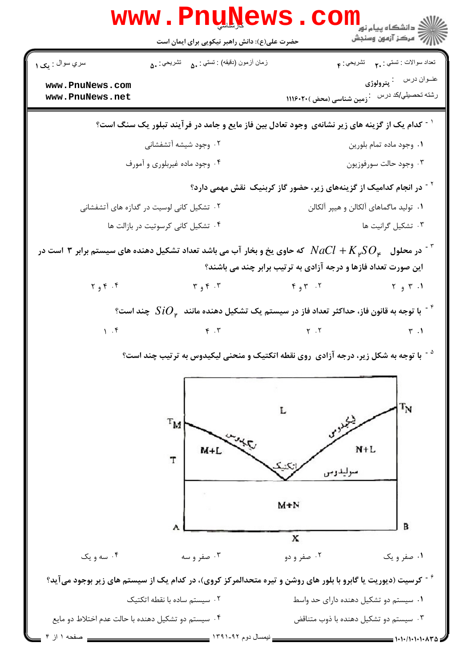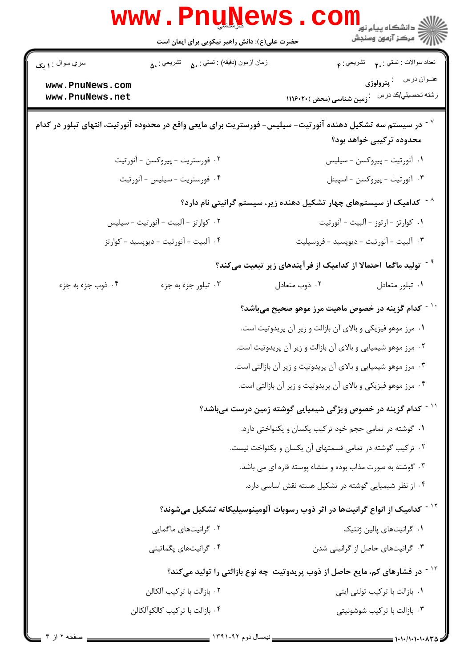| <b>www.PnuNews</b><br>حضرت علی(ع): دانش راهبر نیکویی برای ایمان است | ر<br>دانشکاه پیام نور<br>ا∛ مرکز آزمون وسنجش                                                                                                        |
|---------------------------------------------------------------------|-----------------------------------------------------------------------------------------------------------------------------------------------------|
| زمان أزمون (دقيقه) : تستى : ۵۰     تشريحي : ۵۰<br>سري سوال : ۱ يک   | تعداد سوالات : تستي : <sub>۲</sub> ۰       تشريحي : ۴                                                                                               |
| www.PnuNews.com<br>www.PnuNews.net                                  | عنـوان درس : <b>پترولوژي</b><br>رشته تحصیلی/کد در س $\colon \colon$ زمین <mark>شناسی (محض )۲۰۲۰(</mark> ۱۱۱                                         |
|                                                                     | <sup>۷ -</sup> در سیستم سه تشکیل دهنده آنورتیت– سیلیس– فورستریت برای مایعی واقع در محدوده آنورتیت، انتهای تبلور در کدام<br>محدوده ترکیبی خواهد بود؟ |
| ۰۲ فورستريت - پيروكسن - آنورتيت                                     | ١. آنورتيت - پيروكسن - سيليس                                                                                                                        |
| ۰۴ فورستريت - سيليس - آنورتيت                                       | ۰۳ آنورتيت - پيروكسن - اسپينل                                                                                                                       |
|                                                                     | <sup>^ -</sup> کدامیک از سیستمهای چهار تشکیل دهنده زیر، سیستم گرانیتی نام دارد؟                                                                     |
| ٢. كوارتز - آلبيت - آنورتيت - سيليس                                 | ۰۱ کوارتز - ارتوز - آلبیت - آنورتیت                                                                                                                 |
| ۰۴ آلبیت - آنورتیت - دیوپسید - کوارتز                               | ۰۳ آلبيت - آنورتيت - ديوپسيد - فروسيليت                                                                                                             |
|                                                                     | <sup>۹ -</sup> تولید ماگما احتمالا از کدامیک از فرآیندهای زیر تبعیت میکند؟                                                                          |
| ۰۴ ذوب جزء به جزء<br>۰۳ تبلور جزء به جزء                            | ٠١ تبلور متعادل<br>۰۲ ذوب متعادل                                                                                                                    |
|                                                                     | <sup>۱۰ -</sup> کدام گزینه در خصوص ماهیت مرز موهو صحیح میباشد؟                                                                                      |
|                                                                     | ۰۱ مرز موهو فیزیکی و بالای آن بازالت و زیر آن پریدوتیت است.                                                                                         |
|                                                                     | ۰۲ مرز موهو شیمیایی و بالای آن بازالت و زیر آن پریدوتیت است.                                                                                        |
|                                                                     | ۰۳ مرز موهو شیمیایی و بالای آن پریدوتیت و زیر آن بازالتی است.                                                                                       |
|                                                                     | ۰۴ مرز موهو فیزیکی و بالای آن پریدوتیت و زیر آن بازالتی است.                                                                                        |
|                                                                     | <sup>۱۱ -</sup> کدام گزینه در خصوص ویژگی شیمیایی گوشته زمین درست میباشد؟                                                                            |
|                                                                     | ٠١ گوشته در تمامي حجم خود تركيب يكسان و يكنواختي دارد.                                                                                              |
|                                                                     | ۰۲ ترکیب گوشته در تمامی قسمتهای آن یکسان و یکنواخت نیست.                                                                                            |
|                                                                     | ۰۳ گوشته به صورت مذاب بوده و منشاء پوسته قاره ای می باشد.                                                                                           |
|                                                                     | ۰۴ از نظر شیمیایی گوشته در تشکیل هسته نقش اساسی دارد.                                                                                               |
|                                                                     | <sup>۱۲ -</sup> کدامیک از انواع گرانیتها در اثر ذوب رسوبات آلومینوسیلیکاته تشکیل میشوند؟                                                            |
| ۰۲ گرانیتهای ماگمایی                                                | ۰۱ گرانیتهای پالین ژنتیک                                                                                                                            |
| ۰۴ گرانیتهای یگماتیتی                                               | ۰۳ گرانیتهای حاصل از گرانیتی شدن                                                                                                                    |
|                                                                     | <sup>۱۳ -</sup> در فشارهای کم، مایع حاصل از ذوب پریدوتیت چه نوع بازالتی را تولید میکند؟                                                             |
| ۰۲ بازالت با تركيب آلكالن                                           | ۰۱ بازالت با ترکیب تولئی ایتی                                                                                                                       |
| ۰۴ بازالت با تر کیب کالکوآلکالن                                     | ۰۳ بازالت با تركيب شوشونيتي                                                                                                                         |
|                                                                     |                                                                                                                                                     |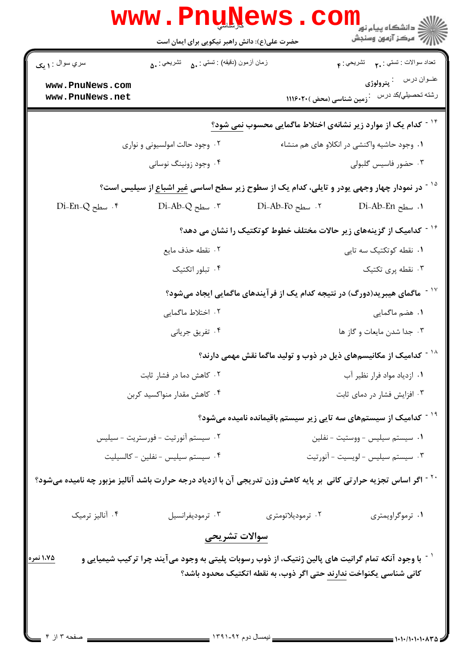| سري سوال : ۱ مک<br>www.PnuNews.com | زمان أزمون (دقيقه) : تستى : ه فس نشريحي : ۵۰ |                                                                                                                                                                                      |  |
|------------------------------------|----------------------------------------------|--------------------------------------------------------------------------------------------------------------------------------------------------------------------------------------|--|
|                                    |                                              | تعداد سوالات : تستي : . <b>م</b> تشريحي : م<br>عنــوان درس : <b>پترولوژي</b>                                                                                                         |  |
| www.PnuNews.net                    |                                              | رشته تحصیلی/کد در س $\colon \colon$ زمین <mark>شناسی (محض )۲۰۲۰(</mark> ۱۱۱                                                                                                          |  |
|                                    |                                              | <sup>۱۴ -</sup> کدام یک از موارد زیر نشانهی اختلاط ماگمایی محسوب <u>نمی شود؟</u>                                                                                                     |  |
|                                    | ۰۲ وجود حالت امولسیونی و نواری               | ٠١. وجود حاشيه واكنشى در انكلاو هاى هم منشاء                                                                                                                                         |  |
|                                    | ۰۴ وجود زونینگ نوسانی                        | ۰۳ حضور فاسیس گلبولی                                                                                                                                                                 |  |
|                                    |                                              | <sup>۱۵ -</sup> در نمودار چهار وجهی یودر و تایلی، کدام یک از سطوح زیر سطح اساسی <u>غیر اشباع</u> از سیلیس است؟                                                                       |  |
| $Di$ -En-Q سطح جا $\cdot$ ۴        | $Di-Ab-Q$ . سطح.                             | ۲. سطح Di-Ab-Fo<br>1. سطح Di-Ab-En                                                                                                                                                   |  |
|                                    |                                              | <sup>-</sup> کدامیک از گزینههای زیر حالات مختلف خطوط کوتکتیک را نشان می دهد؟                                                                                                         |  |
|                                    | ٢. نقطه حذف مايع                             | ۰۱ نقطه کوتکتیک سه تایی                                                                                                                                                              |  |
|                                    | ۰۴ تبلور اتکتیک                              | ۰۳ نقطه پری تکتیک                                                                                                                                                                    |  |
|                                    |                                              | ٔ ` ` ماگمای هیبرید(دورگ) در نتیجه کدام یک از فر آیندهای ماگمایی ایجاد میشود؟                                                                                                        |  |
|                                    | ۲. اختلاط ماگمایی                            | ۰۱ هضم ماگمایی                                                                                                                                                                       |  |
|                                    | ۰۴ تفریق جریانی                              | ۰۳ جدا شدن مايعات و گاز ها                                                                                                                                                           |  |
|                                    |                                              | <sup>۱۸ -</sup> کدامیک از مکانیسمهای ذیل در ذوب و تولید ماگما نقش مهمی دارند؟                                                                                                        |  |
|                                    | ۰۲ کاهش دما در فشار ثابت                     | ٠١ ازدياد مواد فرار نظير آب                                                                                                                                                          |  |
|                                    | ۰۴ کاهش مقدار منواکسید کربن                  | ۰۳ افزایش فشار در دمای ثابت                                                                                                                                                          |  |
|                                    |                                              | <sup>۱۹ -</sup> کدامیک از سیستمهای سه تایی زیر سیستم باقیمانده نامیده میشود؟                                                                                                         |  |
|                                    | ۰۲ سیستم آنورتیت - فورستریت - سیلیس          | ٠١ سيستم سيليس - ووستيت - نفلين                                                                                                                                                      |  |
|                                    | ۰۴ سیستم سیلیس - نفلین - کالسیلیت            | ٠٣ سيستم سيليس - لويسيت - آنورتيت                                                                                                                                                    |  |
|                                    |                                              | <sup>۲۰ -</sup> اگر اساس تجزیه حرارتی کانی بر پایه کاهش وزن تدریجی آن با ازدیاد درجه حرارت باشد آنالیز مزبور چه نامیده میشود؟                                                        |  |
| ۰۴ آنالیز ترمیک                    | ۰۳ ترموديفرانسيل                             | ۰۲ ترمودیلاتومتری<br>۰۱ ترموگراویمتری                                                                                                                                                |  |
|                                    | سوالات تشريحي                                |                                                                                                                                                                                      |  |
| ۱،۷۵ نمره                          |                                              | <sup>۱ -</sup> با وجود آنکه تمام گرانیت های پالین ژنتیک، از ذوب رسوبات پلیتی به وجود میآیند چرا ترکیب شیمیایی و<br>کانی شناسی یکنواخت ندارند حتی اگر ذوب، به نقطه اتکتیک محدود باشد؟ |  |
|                                    |                                              |                                                                                                                                                                                      |  |
|                                    | verse the                                    |                                                                                                                                                                                      |  |